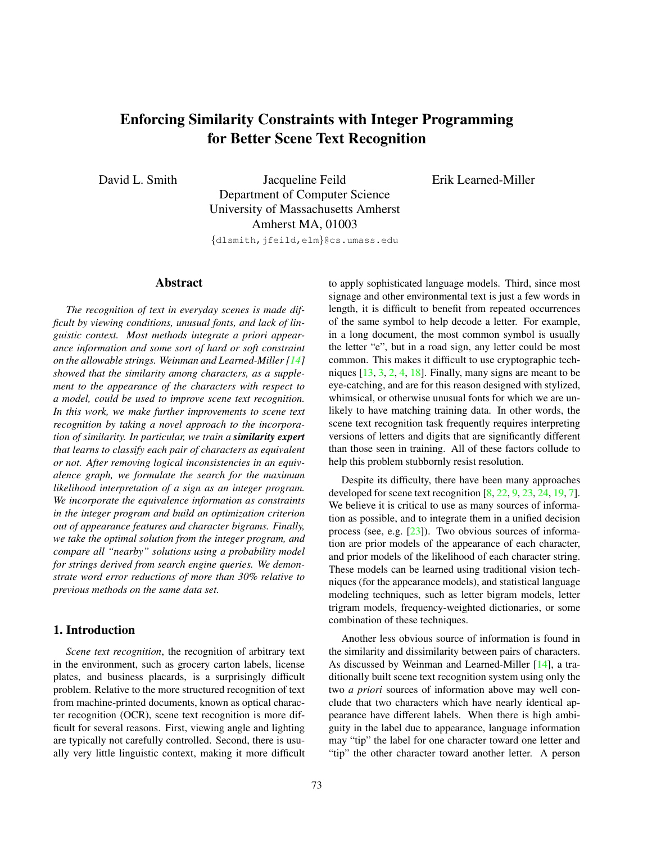# <span id="page-0-0"></span>Enforcing Similarity Constraints with Integer Programming for Better Scene Text Recognition

David L. Smith Jacqueline Feild Department of Computer Science University of Massachusetts Amherst Amherst MA, 01003

{dlsmith,jfeild,elm}@cs.umass.edu

# Abstract

*The recognition of text in everyday scenes is made difficult by viewing conditions, unusual fonts, and lack of linguistic context. Most methods integrate a priori appearance information and some sort of hard or soft constraint on the allowable strings. Weinman and Learned-Miller* [\[14\]](#page-7-0) *showed that the similarity among characters, as a supplement to the appearance of the characters with respect to a model, could be used to improve scene text recognition. In this work, we make further improvements to scene text recognition by taking a novel approach to the incorporation of similarity. In particular, we train a similarity expert that learns to classify each pair of characters as equivalent or not. After removing logical inconsistencies in an equivalence graph, we formulate the search for the maximum likelihood interpretation of a sign as an integer program. We incorporate the equivalence information as constraints in the integer program and build an optimization criterion out of appearance features and character bigrams. Finally, we take the optimal solution from the integer program, and compare all "nearby" solutions using a probability model for strings derived from search engine queries. We demonstrate word error reductions of more than 30% relative to previous methods on the same data set.*

## 1. Introduction

*Scene text recognition*, the recognition of arbitrary text in the environment, such as grocery carton labels, license plates, and business placards, is a surprisingly difficult problem. Relative to the more structured recognition of text from machine-printed documents, known as optical character recognition (OCR), scene text recognition is more difficult for several reasons. First, viewing angle and lighting are typically not carefully controlled. Second, there is usually very little linguistic context, making it more difficult to apply sophisticated language models. Third, since most signage and other environmental text is just a few words in length, it is difficult to benefit from repeated occurrences of the same symbol to help decode a letter. For example, in a long document, the most common symbol is usually the letter "e", but in a road sign, any letter could be most common. This makes it difficult to use cryptographic techniques [\[13,](#page-7-1) [3,](#page-7-2) [2,](#page-7-3) [4,](#page-7-4) [18\]](#page-7-5). Finally, many signs are meant to be eye-catching, and are for this reason designed with stylized, whimsical, or otherwise unusual fonts for which we are unlikely to have matching training data. In other words, the scene text recognition task frequently requires interpreting versions of letters and digits that are significantly different than those seen in training. All of these factors collude to help this problem stubbornly resist resolution.

Erik Learned-Miller

Despite its difficulty, there have been many approaches developed for scene text recognition [\[8,](#page-7-6) [22,](#page-7-7) [9,](#page-7-8) [23,](#page-7-9) [24,](#page-7-10) [19,](#page-7-11) [7\]](#page-7-12). We believe it is critical to use as many sources of information as possible, and to integrate them in a unified decision process (see, e.g. [\[23\]](#page-7-9)). Two obvious sources of information are prior models of the appearance of each character, and prior models of the likelihood of each character string. These models can be learned using traditional vision techniques (for the appearance models), and statistical language modeling techniques, such as letter bigram models, letter trigram models, frequency-weighted dictionaries, or some combination of these techniques.

Another less obvious source of information is found in the similarity and dissimilarity between pairs of characters. As discussed by Weinman and Learned-Miller [\[14\]](#page-7-0), a traditionally built scene text recognition system using only the two *a priori* sources of information above may well conclude that two characters which have nearly identical appearance have different labels. When there is high ambiguity in the label due to appearance, language information may "tip" the label for one character toward one letter and "tip" the other character toward another letter. A person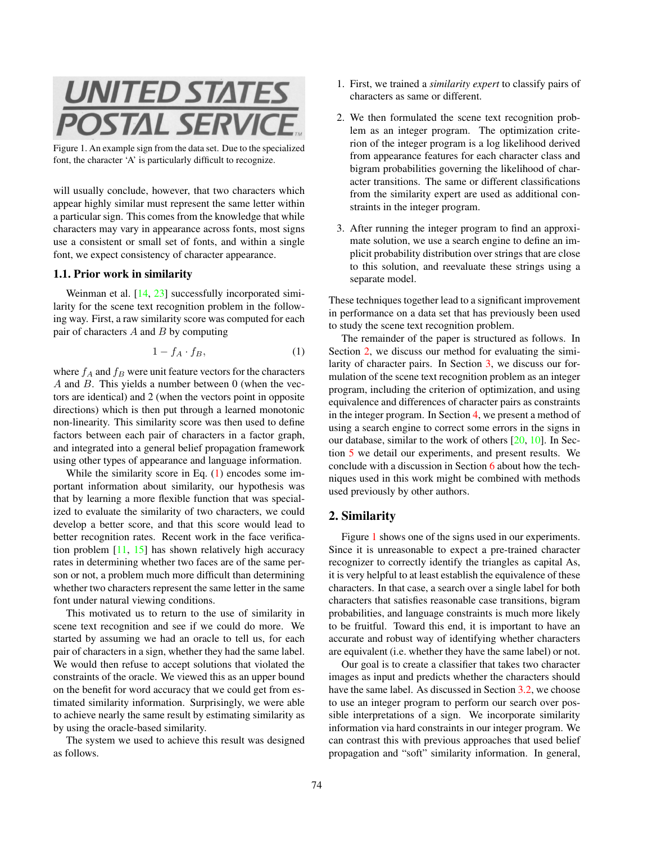<span id="page-1-3"></span>

Figure 1. An example sign from the data set. Due to the specialized font, the character 'A' is particularly difficult to recognize.

<span id="page-1-2"></span>will usually conclude, however, that two characters which appear highly similar must represent the same letter within a particular sign. This comes from the knowledge that while characters may vary in appearance across fonts, most signs use a consistent or small set of fonts, and within a single font, we expect consistency of character appearance.

#### 1.1. Prior work in similarity

Weinman et al. [\[14,](#page-7-0) [23\]](#page-7-9) successfully incorporated similarity for the scene text recognition problem in the following way. First, a raw similarity score was computed for each pair of characters  $A$  and  $B$  by computing

<span id="page-1-0"></span>
$$
1 - f_A \cdot f_B,\tag{1}
$$

where  $f_A$  and  $f_B$  were unit feature vectors for the characters  $A$  and  $B$ . This yields a number between 0 (when the vectors are identical) and 2 (when the vectors point in opposite directions) which is then put through a learned monotonic non-linearity. This similarity score was then used to define factors between each pair of characters in a factor graph, and integrated into a general belief propagation framework using other types of appearance and language information.

While the similarity score in Eq. [\(1\)](#page-1-0) encodes some important information about similarity, our hypothesis was that by learning a more flexible function that was specialized to evaluate the similarity of two characters, we could develop a better score, and that this score would lead to better recognition rates. Recent work in the face verification problem [\[11,](#page-7-13) [15\]](#page-7-14) has shown relatively high accuracy rates in determining whether two faces are of the same person or not, a problem much more difficult than determining whether two characters represent the same letter in the same font under natural viewing conditions.

This motivated us to return to the use of similarity in scene text recognition and see if we could do more. We started by assuming we had an oracle to tell us, for each pair of characters in a sign, whether they had the same label. We would then refuse to accept solutions that violated the constraints of the oracle. We viewed this as an upper bound on the benefit for word accuracy that we could get from estimated similarity information. Surprisingly, we were able to achieve nearly the same result by estimating similarity as by using the oracle-based similarity.

The system we used to achieve this result was designed as follows.

- 1. First, we trained a *similarity expert* to classify pairs of characters as same or different.
- 2. We then formulated the scene text recognition problem as an integer program. The optimization criterion of the integer program is a log likelihood derived from appearance features for each character class and bigram probabilities governing the likelihood of character transitions. The same or different classifications from the similarity expert are used as additional constraints in the integer program.
- 3. After running the integer program to find an approximate solution, we use a search engine to define an implicit probability distribution over strings that are close to this solution, and reevaluate these strings using a separate model.

These techniques together lead to a significant improvement in performance on a data set that has previously been used to study the scene text recognition problem.

The remainder of the paper is structured as follows. In Section [2,](#page-1-1) we discuss our method for evaluating the similarity of character pairs. In Section [3,](#page-3-0) we discuss our formulation of the scene text recognition problem as an integer program, including the criterion of optimization, and using equivalence and differences of character pairs as constraints in the integer program. In Section [4,](#page-5-0) we present a method of using a search engine to correct some errors in the signs in our database, similar to the work of others [\[20,](#page-7-15) [10\]](#page-7-16). In Section [5](#page-5-1) we detail our experiments, and present results. We conclude with a discussion in Section [6](#page-6-0) about how the techniques used in this work might be combined with methods used previously by other authors.

#### <span id="page-1-1"></span>2. Similarity

Figure [1](#page-1-2) shows one of the signs used in our experiments. Since it is unreasonable to expect a pre-trained character recognizer to correctly identify the triangles as capital As, it is very helpful to at least establish the equivalence of these characters. In that case, a search over a single label for both characters that satisfies reasonable case transitions, bigram probabilities, and language constraints is much more likely to be fruitful. Toward this end, it is important to have an accurate and robust way of identifying whether characters are equivalent (i.e. whether they have the same label) or not.

Our goal is to create a classifier that takes two character images as input and predicts whether the characters should have the same label. As discussed in Section [3.2,](#page-3-1) we choose to use an integer program to perform our search over possible interpretations of a sign. We incorporate similarity information via hard constraints in our integer program. We can contrast this with previous approaches that used belief propagation and "soft" similarity information. In general,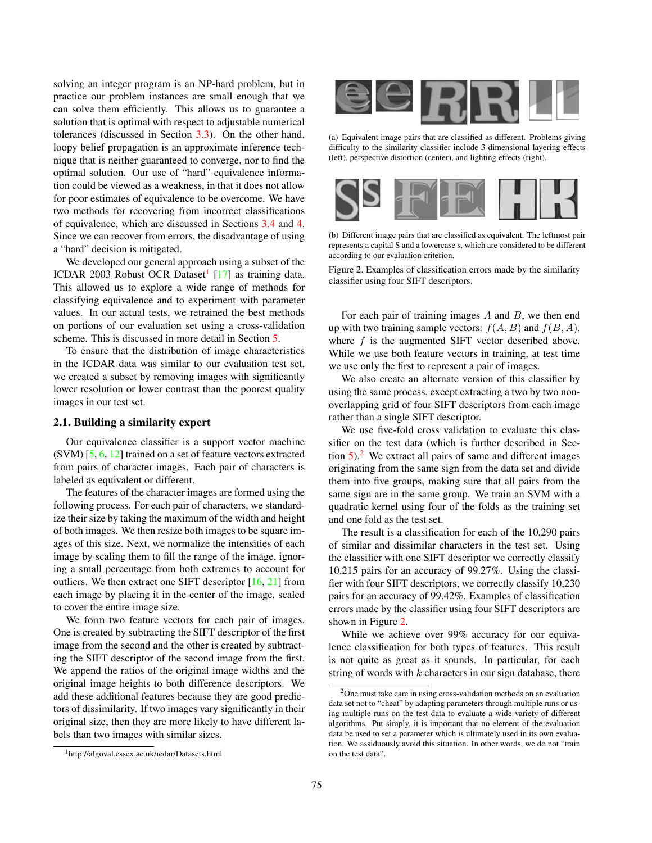<span id="page-2-3"></span>solving an integer program is an NP-hard problem, but in practice our problem instances are small enough that we can solve them efficiently. This allows us to guarantee a solution that is optimal with respect to adjustable numerical tolerances (discussed in Section [3.3\)](#page-4-0). On the other hand, loopy belief propagation is an approximate inference technique that is neither guaranteed to converge, nor to find the optimal solution. Our use of "hard" equivalence information could be viewed as a weakness, in that it does not allow for poor estimates of equivalence to be overcome. We have two methods for recovering from incorrect classifications of equivalence, which are discussed in Sections [3.4](#page-4-1) and [4.](#page-5-0) Since we can recover from errors, the disadvantage of using a "hard" decision is mitigated.

We developed our general approach using a subset of the ICDAR 2003 Robust OCR Dataset<sup>[1](#page-2-0)</sup> [\[17\]](#page-7-17) as training data. This allowed us to explore a wide range of methods for classifying equivalence and to experiment with parameter values. In our actual tests, we retrained the best methods on portions of our evaluation set using a cross-validation scheme. This is discussed in more detail in Section [5.](#page-5-1)

To ensure that the distribution of image characteristics in the ICDAR data was similar to our evaluation test set, we created a subset by removing images with significantly lower resolution or lower contrast than the poorest quality images in our test set.

#### 2.1. Building a similarity expert

Our equivalence classifier is a support vector machine (SVM) [\[5,](#page-7-18) [6,](#page-7-19) [12\]](#page-7-20) trained on a set of feature vectors extracted from pairs of character images. Each pair of characters is labeled as equivalent or different.

The features of the character images are formed using the following process. For each pair of characters, we standardize their size by taking the maximum of the width and height of both images. We then resize both images to be square images of this size. Next, we normalize the intensities of each image by scaling them to fill the range of the image, ignoring a small percentage from both extremes to account for outliers. We then extract one SIFT descriptor [\[16,](#page-7-21) [21\]](#page-7-22) from each image by placing it in the center of the image, scaled to cover the entire image size.

We form two feature vectors for each pair of images. One is created by subtracting the SIFT descriptor of the first image from the second and the other is created by subtracting the SIFT descriptor of the second image from the first. We append the ratios of the original image widths and the original image heights to both difference descriptors. We add these additional features because they are good predictors of dissimilarity. If two images vary significantly in their original size, then they are more likely to have different labels than two images with similar sizes.

<span id="page-2-0"></span>



(a) Equivalent image pairs that are classified as different. Problems giving difficulty to the similarity classifier include 3-dimensional layering effects (left), perspective distortion (center), and lighting effects (right).



(b) Different image pairs that are classified as equivalent. The leftmost pair represents a capital S and a lowercase s, which are considered to be different according to our evaluation criterion.

<span id="page-2-2"></span>Figure 2. Examples of classification errors made by the similarity classifier using four SIFT descriptors.

For each pair of training images  $A$  and  $B$ , we then end up with two training sample vectors:  $f(A, B)$  and  $f(B, A)$ , where  $f$  is the augmented SIFT vector described above. While we use both feature vectors in training, at test time we use only the first to represent a pair of images.

We also create an alternate version of this classifier by using the same process, except extracting a two by two nonoverlapping grid of four SIFT descriptors from each image rather than a single SIFT descriptor.

We use five-fold cross validation to evaluate this classifier on the test data (which is further described in Section  $5$ .<sup>[2](#page-2-1)</sup> We extract all pairs of same and different images originating from the same sign from the data set and divide them into five groups, making sure that all pairs from the same sign are in the same group. We train an SVM with a quadratic kernel using four of the folds as the training set and one fold as the test set.

The result is a classification for each of the 10,290 pairs of similar and dissimilar characters in the test set. Using the classifier with one SIFT descriptor we correctly classify 10,215 pairs for an accuracy of 99.27%. Using the classifier with four SIFT descriptors, we correctly classify 10,230 pairs for an accuracy of 99.42%. Examples of classification errors made by the classifier using four SIFT descriptors are shown in Figure [2.](#page-2-2)

While we achieve over 99% accuracy for our equivalence classification for both types of features. This result is not quite as great as it sounds. In particular, for each string of words with  $k$  characters in our sign database, there

<span id="page-2-1"></span><sup>&</sup>lt;sup>2</sup>One must take care in using cross-validation methods on an evaluation data set not to "cheat" by adapting parameters through multiple runs or using multiple runs on the test data to evaluate a wide variety of different algorithms. Put simply, it is important that no element of the evaluation data be used to set a parameter which is ultimately used in its own evaluation. We assiduously avoid this situation. In other words, we do not "train on the test data".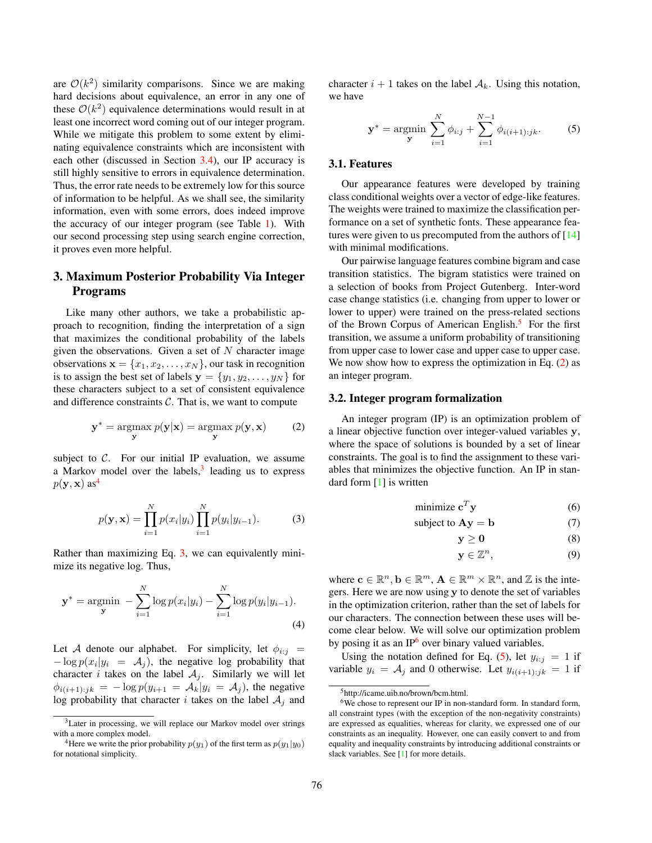<span id="page-3-9"></span>are  $\mathcal{O}(k^2)$  similarity comparisons. Since we are making hard decisions about equivalence, an error in any one of these  $\mathcal{O}(k^2)$  equivalence determinations would result in at least one incorrect word coming out of our integer program. While we mitigate this problem to some extent by eliminating equivalence constraints which are inconsistent with each other (discussed in Section [3.4\)](#page-4-1), our IP accuracy is still highly sensitive to errors in equivalence determination. Thus, the error rate needs to be extremely low for this source of information to be helpful. As we shall see, the similarity information, even with some errors, does indeed improve the accuracy of our integer program (see Table [1\)](#page-6-1). With our second processing step using search engine correction, it proves even more helpful.

# <span id="page-3-0"></span>3. Maximum Posterior Probability Via Integer Programs

Like many other authors, we take a probabilistic approach to recognition, finding the interpretation of a sign that maximizes the conditional probability of the labels given the observations. Given a set of  $N$  character image observations  $\mathbf{x} = \{x_1, x_2, \dots, x_N\}$ , our task in recognition is to assign the best set of labels  $y = \{y_1, y_2, \dots, y_N\}$  for these characters subject to a set of consistent equivalence and difference constraints  $C$ . That is, we want to compute

$$
\mathbf{y}^* = \operatorname*{argmax}_{\mathbf{y}} p(\mathbf{y}|\mathbf{x}) = \operatorname*{argmax}_{\mathbf{y}} p(\mathbf{y}, \mathbf{x})
$$
(2)

subject to  $C$ . For our initial IP evaluation, we assume a Markov model over the labels, $3$  leading us to express  $p(\mathbf{y}, \mathbf{x})$  as<sup>[4](#page-3-3)</sup>

$$
p(\mathbf{y}, \mathbf{x}) = \prod_{i=1}^{N} p(x_i | y_i) \prod_{i=1}^{N} p(y_i | y_{i-1}).
$$
 (3)

Rather than maximizing Eq. [3,](#page-3-4) we can equivalently minimize its negative log. Thus,

$$
\mathbf{y}^* = \operatorname*{argmin}_{\mathbf{y}} - \sum_{i=1}^{N} \log p(x_i | y_i) - \sum_{i=1}^{N} \log p(y_i | y_{i-1}).
$$
\n(4)

Let A denote our alphabet. For simplicity, let  $\phi_{i:j}$  =  $-\log p(x_i|y_i = A_j)$ , the negative log probability that character *i* takes on the label  $A_i$ . Similarly we will let  $\phi_{i(i+1):jk} = -\log p(y_{i+1} = A_k|y_i = A_j)$ , the negative log probability that character i takes on the label  $A_j$  and

character  $i + 1$  takes on the label  $A_k$ . Using this notation, we have

<span id="page-3-8"></span>
$$
\mathbf{y}^* = \operatorname*{argmin}_{\mathbf{y}} \sum_{i=1}^{N} \phi_{i:j} + \sum_{i=1}^{N-1} \phi_{i(i+1):jk}.
$$
 (5)

### 3.1. Features

Our appearance features were developed by training class conditional weights over a vector of edge-like features. The weights were trained to maximize the classification performance on a set of synthetic fonts. These appearance features were given to us precomputed from the authors of  $[14]$ with minimal modifications.

Our pairwise language features combine bigram and case transition statistics. The bigram statistics were trained on a selection of books from Project Gutenberg. Inter-word case change statistics (i.e. changing from upper to lower or lower to upper) were trained on the press-related sections of the Brown Corpus of American English.<sup>[5](#page-3-5)</sup> For the first transition, we assume a uniform probability of transitioning from upper case to lower case and upper case to upper case. We now show how to express the optimization in Eq. [\(2\)](#page-3-6) as an integer program.

#### <span id="page-3-1"></span>3.2. Integer program formalization

<span id="page-3-6"></span>An integer program (IP) is an optimization problem of a linear objective function over integer-valued variables y, where the space of solutions is bounded by a set of linear constraints. The goal is to find the assignment to these variables that minimizes the objective function. An IP in standard form [\[1\]](#page-7-23) is written

$$
minimize cTy
$$
\n(6)

subject to 
$$
Ay = b
$$
 (7)

 $y \ge 0$  (8)

$$
\mathbf{y} \in \mathbb{Z}^n, \tag{9}
$$

<span id="page-3-4"></span>where  $\mathbf{c} \in \mathbb{R}^n$ ,  $\mathbf{b} \in \mathbb{R}^m$ ,  $\mathbf{A} \in \mathbb{R}^m \times \mathbb{R}^n$ , and  $\mathbb{Z}$  is the integers. Here we are now using y to denote the set of variables in the optimization criterion, rather than the set of labels for our characters. The connection between these uses will become clear below. We will solve our optimization problem by posing it as an  $IP<sup>6</sup>$  $IP<sup>6</sup>$  $IP<sup>6</sup>$  over binary valued variables.

Using the notation defined for Eq. [\(5\)](#page-3-8), let  $y_{i:j} = 1$  if variable  $y_i = A_j$  and 0 otherwise. Let  $y_{i(i+1):jk} = 1$  if

<span id="page-3-2"></span><sup>3</sup>Later in processing, we will replace our Markov model over strings with a more complex model.

<span id="page-3-3"></span><sup>&</sup>lt;sup>4</sup>Here we write the prior probability  $p(y_1)$  of the first term as  $p(y_1|y_0)$ for notational simplicity.

<span id="page-3-7"></span><span id="page-3-5"></span><sup>5</sup>http://icame.uib.no/brown/bcm.html.

 $6$ We chose to represent our IP in non-standard form. In standard form, all constraint types (with the exception of the non-negativity constraints) are expressed as equalities, whereas for clarity, we expressed one of our constraints as an inequality. However, one can easily convert to and from equality and inequality constraints by introducing additional constraints or slack variables. See [\[1\]](#page-7-23) for more details.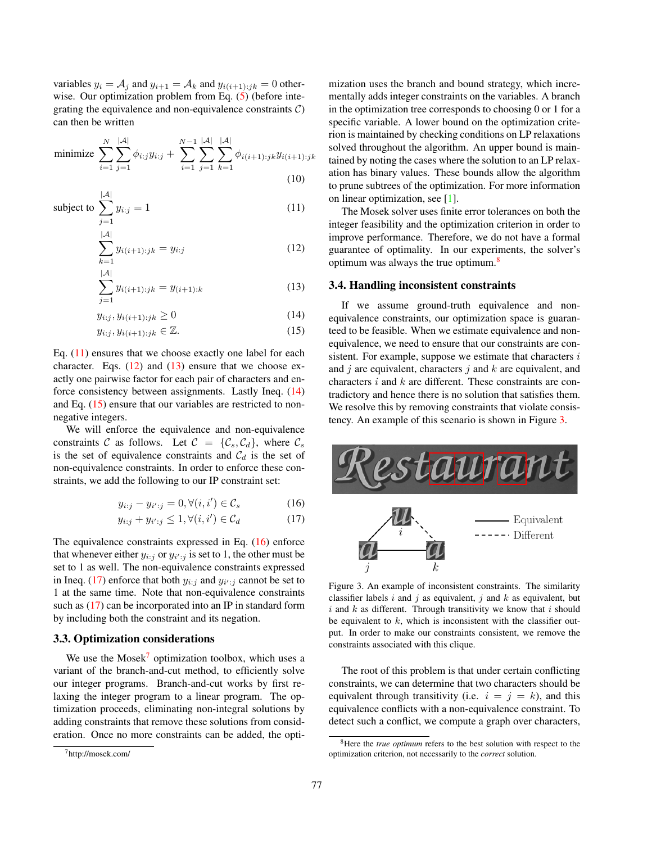<span id="page-4-13"></span>variables  $y_i = A_j$  and  $y_{i+1} = A_k$  and  $y_{i(i+1):jk} = 0$  other-wise. Our optimization problem from Eq. [\(5\)](#page-3-8) (before integrating the equivalence and non-equivalence constraints  $\mathcal{C}$ ) can then be written

minimize 
$$
\sum_{i=1}^{N} \sum_{j=1}^{|\mathcal{A}|} \phi_{i:j} y_{i:j} + \sum_{i=1}^{N-1} \sum_{j=1}^{|\mathcal{A}|} \sum_{k=1}^{|\mathcal{A}|} \phi_{i(i+1):jk} y_{i(i+1):jk}
$$
\n(10)

subject to 
$$
\sum_{j=1}^{|\mathcal{A}|} y_{i:j} = 1
$$
 (11)

$$
\sum_{k=1}^{|\mathcal{A}|} y_{i(i+1):jk} = y_{i:j}
$$
 (12)

$$
\sum_{j=1}^{|\mathcal{A}|} y_{i(i+1):jk} = y_{(i+1):k}
$$
 (13)

 $y_{i:j}, y_{i(i+1):jk} \ge 0$  (14)

$$
y_{i:j}, y_{i(i+1):jk} \in \mathbb{Z}.\tag{15}
$$

Eq. [\(11\)](#page-4-2) ensures that we choose exactly one label for each character. Eqs.  $(12)$  and  $(13)$  ensure that we choose exactly one pairwise factor for each pair of characters and enforce consistency between assignments. Lastly Ineq. [\(14\)](#page-4-5) and Eq. [\(15\)](#page-4-6) ensure that our variables are restricted to nonnegative integers.

We will enforce the equivalence and non-equivalence constraints C as follows. Let  $C = \{C_s, C_d\}$ , where  $C_s$ is the set of equivalence constraints and  $C_d$  is the set of non-equivalence constraints. In order to enforce these constraints, we add the following to our IP constraint set:

$$
y_{i:j} - y_{i':j} = 0, \forall (i, i') \in \mathcal{C}_s \tag{16}
$$

$$
y_{i:j} + y_{i':j} \le 1, \forall (i, i') \in \mathcal{C}_d \tag{17}
$$

The equivalence constraints expressed in Eq. [\(16\)](#page-4-7) enforce that whenever either  $y_{i:j}$  or  $y_{i':j}$  is set to 1, the other must be set to 1 as well. The non-equivalence constraints expressed in Ineq. [\(17\)](#page-4-8) enforce that both  $y_{i:j}$  and  $y_{i':j}$  cannot be set to 1 at the same time. Note that non-equivalence constraints such as [\(17\)](#page-4-8) can be incorporated into an IP in standard form by including both the constraint and its negation.

# <span id="page-4-0"></span>3.3. Optimization considerations

We use the  $Mosek^7$  $Mosek^7$  optimization toolbox, which uses a variant of the branch-and-cut method, to efficiently solve our integer programs. Branch-and-cut works by first relaxing the integer program to a linear program. The optimization proceeds, eliminating non-integral solutions by adding constraints that remove these solutions from consideration. Once no more constraints can be added, the optimization uses the branch and bound strategy, which incrementally adds integer constraints on the variables. A branch in the optimization tree corresponds to choosing 0 or 1 for a specific variable. A lower bound on the optimization criterion is maintained by checking conditions on LP relaxations solved throughout the algorithm. An upper bound is maintained by noting the cases where the solution to an LP relaxation has binary values. These bounds allow the algorithm to prune subtrees of the optimization. For more information on linear optimization, see [\[1\]](#page-7-23).

<span id="page-4-12"></span><span id="page-4-3"></span><span id="page-4-2"></span>The Mosek solver uses finite error tolerances on both the integer feasibility and the optimization criterion in order to improve performance. Therefore, we do not have a formal guarantee of optimality. In our experiments, the solver's optimum was always the true optimum.<sup>[8](#page-4-10)</sup>

#### <span id="page-4-4"></span><span id="page-4-1"></span>3.4. Handling inconsistent constraints

<span id="page-4-6"></span><span id="page-4-5"></span>If we assume ground-truth equivalence and nonequivalence constraints, our optimization space is guaranteed to be feasible. When we estimate equivalence and nonequivalence, we need to ensure that our constraints are consistent. For example, suppose we estimate that characters  $i$ and  $j$  are equivalent, characters  $j$  and  $k$  are equivalent, and characters i and k are different. These constraints are contradictory and hence there is no solution that satisfies them. We resolve this by removing constraints that violate consistency. An example of this scenario is shown in Figure [3.](#page-4-11)

<span id="page-4-8"></span><span id="page-4-7"></span>

<span id="page-4-11"></span>Figure 3. An example of inconsistent constraints. The similarity classifier labels  $i$  and  $j$  as equivalent,  $j$  and  $k$  as equivalent, but  $i$  and  $k$  as different. Through transitivity we know that  $i$  should be equivalent to  $k$ , which is inconsistent with the classifier output. In order to make our constraints consistent, we remove the constraints associated with this clique.

The root of this problem is that under certain conflicting constraints, we can determine that two characters should be equivalent through transitivity (i.e.  $i = j = k$ ), and this equivalence conflicts with a non-equivalence constraint. To detect such a conflict, we compute a graph over characters,

<span id="page-4-9"></span><sup>7</sup>http://mosek.com/

<span id="page-4-10"></span><sup>8</sup>Here the *true optimum* refers to the best solution with respect to the optimization criterion, not necessarily to the *correct* solution.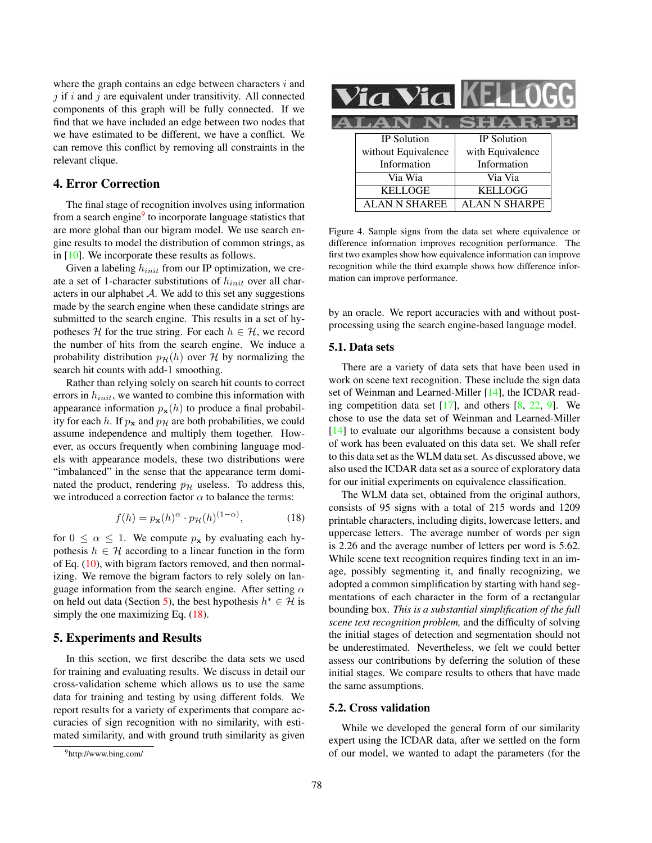<span id="page-5-5"></span>where the graph contains an edge between characters  $i$  and  $j$  if  $i$  and  $j$  are equivalent under transitivity. All connected components of this graph will be fully connected. If we find that we have included an edge between two nodes that we have estimated to be different, we have a conflict. We can remove this conflict by removing all constraints in the relevant clique.

# <span id="page-5-0"></span>4. Error Correction

The final stage of recognition involves using information from a search engine<sup>[9](#page-5-2)</sup> to incorporate language statistics that are more global than our bigram model. We use search engine results to model the distribution of common strings, as in [\[10\]](#page-7-16). We incorporate these results as follows.

Given a labeling  $h_{init}$  from our IP optimization, we create a set of 1-character substitutions of  $h_{init}$  over all characters in our alphabet  $A$ . We add to this set any suggestions made by the search engine when these candidate strings are submitted to the search engine. This results in a set of hypotheses H for the true string. For each  $h \in \mathcal{H}$ , we record the number of hits from the search engine. We induce a probability distribution  $p_{\mathcal{H}}(h)$  over H by normalizing the search hit counts with add-1 smoothing.

Rather than relying solely on search hit counts to correct errors in  $h_{init}$ , we wanted to combine this information with appearance information  $p_{\mathbf{x}}(h)$  to produce a final probability for each h. If  $p_x$  and  $p_y$  are both probabilities, we could assume independence and multiply them together. However, as occurs frequently when combining language models with appearance models, these two distributions were "imbalanced" in the sense that the appearance term dominated the product, rendering  $p<sub>H</sub>$  useless. To address this, we introduced a correction factor  $\alpha$  to balance the terms:

$$
f(h) = p_{\mathbf{x}}(h)^{\alpha} \cdot p_{\mathcal{H}}(h)^{(1-\alpha)}, \tag{18}
$$

for  $0 \le \alpha \le 1$ . We compute  $p_x$  by evaluating each hypothesis  $h \in \mathcal{H}$  according to a linear function in the form of Eq. [\(10\)](#page-4-12), with bigram factors removed, and then normalizing. We remove the bigram factors to rely solely on language information from the search engine. After setting  $\alpha$ on held out data (Section [5\)](#page-5-1), the best hypothesis  $h^* \in \mathcal{H}$  is simply the one maximizing Eq.  $(18)$ .

### <span id="page-5-1"></span>5. Experiments and Results

In this section, we first describe the data sets we used for training and evaluating results. We discuss in detail our cross-validation scheme which allows us to use the same data for training and testing by using different folds. We report results for a variety of experiments that compare accuracies of sign recognition with no similarity, with estimated similarity, and with ground truth similarity as given

| IC |                     |                  |  |  |  |
|----|---------------------|------------------|--|--|--|
|    | .AN                 | SHAR.            |  |  |  |
|    | <b>IP</b> Solution  | IP Solution      |  |  |  |
|    | without Equivalence | with Equivalence |  |  |  |
|    | Information         | Information      |  |  |  |
|    | Via Wia             | Via Via          |  |  |  |
|    | <b>KELLOGE</b>      | KELLOGG          |  |  |  |
|    | ALAN N SHAREE       | ALAN N SHARPE    |  |  |  |

<span id="page-5-4"></span>Figure 4. Sample signs from the data set where equivalence or difference information improves recognition performance. The first two examples show how equivalence information can improve recognition while the third example shows how difference information can improve performance.

by an oracle. We report accuracies with and without postprocessing using the search engine-based language model.

#### 5.1. Data sets

There are a variety of data sets that have been used in work on scene text recognition. These include the sign data set of Weinman and Learned-Miller [\[14\]](#page-7-0), the ICDAR reading competition data set  $[17]$ , and others  $[8, 22, 9]$  $[8, 22, 9]$  $[8, 22, 9]$  $[8, 22, 9]$  $[8, 22, 9]$ . We chose to use the data set of Weinman and Learned-Miller [\[14\]](#page-7-0) to evaluate our algorithms because a consistent body of work has been evaluated on this data set. We shall refer to this data set as the WLM data set. As discussed above, we also used the ICDAR data set as a source of exploratory data for our initial experiments on equivalence classification.

<span id="page-5-3"></span>The WLM data set, obtained from the original authors, consists of 95 signs with a total of 215 words and 1209 printable characters, including digits, lowercase letters, and uppercase letters. The average number of words per sign is 2.26 and the average number of letters per word is 5.62. While scene text recognition requires finding text in an image, possibly segmenting it, and finally recognizing, we adopted a common simplification by starting with hand segmentations of each character in the form of a rectangular bounding box. *This is a substantial simplification of the full scene text recognition problem,* and the difficulty of solving the initial stages of detection and segmentation should not be underestimated. Nevertheless, we felt we could better assess our contributions by deferring the solution of these initial stages. We compare results to others that have made the same assumptions.

#### 5.2. Cross validation

While we developed the general form of our similarity expert using the ICDAR data, after we settled on the form of our model, we wanted to adapt the parameters (for the

<span id="page-5-2"></span><sup>9</sup>http://www.bing.com/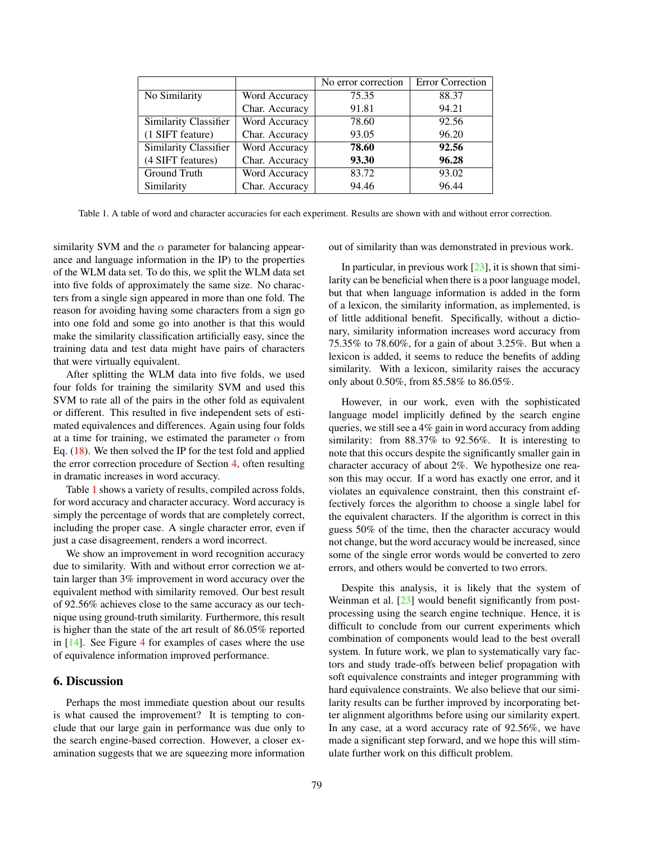<span id="page-6-2"></span>

|                              |                | No error correction | <b>Error Correction</b> |
|------------------------------|----------------|---------------------|-------------------------|
| No Similarity                | Word Accuracy  | 75.35               | 88.37                   |
|                              | Char. Accuracy | 91.81               | 94.21                   |
| <b>Similarity Classifier</b> | Word Accuracy  | 78.60               | 92.56                   |
| (1 SIFT feature)             | Char. Accuracy | 93.05               | 96.20                   |
| Similarity Classifier        | Word Accuracy  | 78.60               | 92.56                   |
| (4 SIFT features)            | Char. Accuracy | 93.30               | 96.28                   |
| Ground Truth                 | Word Accuracy  | 83.72               | 93.02                   |
| Similarity                   | Char. Accuracy | 94.46               | 96.44                   |

<span id="page-6-1"></span>Table 1. A table of word and character accuracies for each experiment. Results are shown with and without error correction.

similarity SVM and the  $\alpha$  parameter for balancing appearance and language information in the IP) to the properties of the WLM data set. To do this, we split the WLM data set into five folds of approximately the same size. No characters from a single sign appeared in more than one fold. The reason for avoiding having some characters from a sign go into one fold and some go into another is that this would make the similarity classification artificially easy, since the training data and test data might have pairs of characters that were virtually equivalent.

After splitting the WLM data into five folds, we used four folds for training the similarity SVM and used this SVM to rate all of the pairs in the other fold as equivalent or different. This resulted in five independent sets of estimated equivalences and differences. Again using four folds at a time for training, we estimated the parameter  $\alpha$  from Eq. [\(18\)](#page-5-3). We then solved the IP for the test fold and applied the error correction procedure of Section [4,](#page-5-0) often resulting in dramatic increases in word accuracy.

Table [1](#page-6-1) shows a variety of results, compiled across folds, for word accuracy and character accuracy. Word accuracy is simply the percentage of words that are completely correct, including the proper case. A single character error, even if just a case disagreement, renders a word incorrect.

We show an improvement in word recognition accuracy due to similarity. With and without error correction we attain larger than 3% improvement in word accuracy over the equivalent method with similarity removed. Our best result of 92.56% achieves close to the same accuracy as our technique using ground-truth similarity. Furthermore, this result is higher than the state of the art result of 86.05% reported in [\[14\]](#page-7-0). See Figure [4](#page-5-4) for examples of cases where the use of equivalence information improved performance.

### <span id="page-6-0"></span>6. Discussion

Perhaps the most immediate question about our results is what caused the improvement? It is tempting to conclude that our large gain in performance was due only to the search engine-based correction. However, a closer examination suggests that we are squeezing more information out of similarity than was demonstrated in previous work.

In particular, in previous work  $[23]$ , it is shown that similarity can be beneficial when there is a poor language model, but that when language information is added in the form of a lexicon, the similarity information, as implemented, is of little additional benefit. Specifically, without a dictionary, similarity information increases word accuracy from 75.35% to 78.60%, for a gain of about 3.25%. But when a lexicon is added, it seems to reduce the benefits of adding similarity. With a lexicon, similarity raises the accuracy only about 0.50%, from 85.58% to 86.05%.

However, in our work, even with the sophisticated language model implicitly defined by the search engine queries, we still see a 4% gain in word accuracy from adding similarity: from 88.37% to 92.56%. It is interesting to note that this occurs despite the significantly smaller gain in character accuracy of about 2%. We hypothesize one reason this may occur. If a word has exactly one error, and it violates an equivalence constraint, then this constraint effectively forces the algorithm to choose a single label for the equivalent characters. If the algorithm is correct in this guess 50% of the time, then the character accuracy would not change, but the word accuracy would be increased, since some of the single error words would be converted to zero errors, and others would be converted to two errors.

Despite this analysis, it is likely that the system of Weinman et al. [\[23\]](#page-7-9) would benefit significantly from postprocessing using the search engine technique. Hence, it is difficult to conclude from our current experiments which combination of components would lead to the best overall system. In future work, we plan to systematically vary factors and study trade-offs between belief propagation with soft equivalence constraints and integer programming with hard equivalence constraints. We also believe that our similarity results can be further improved by incorporating better alignment algorithms before using our similarity expert. In any case, at a word accuracy rate of 92.56%, we have made a significant step forward, and we hope this will stimulate further work on this difficult problem.